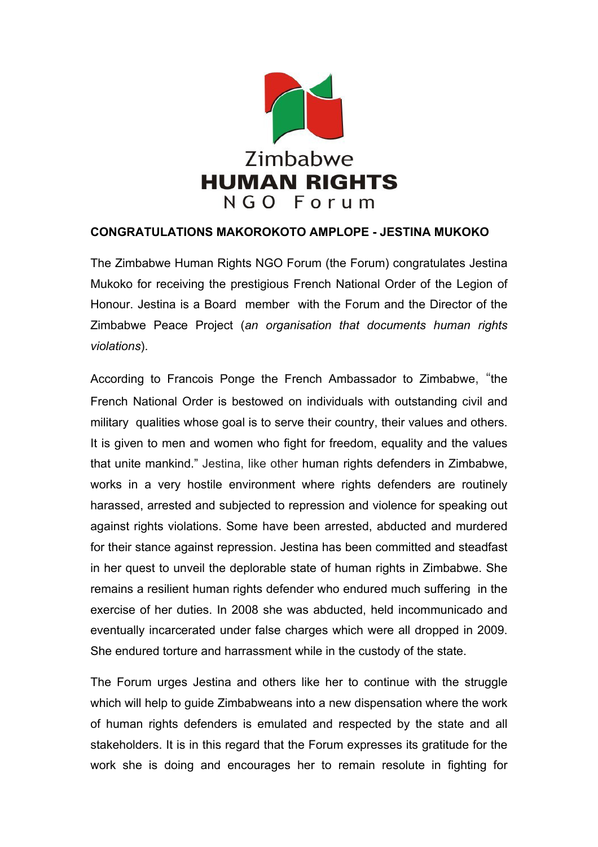

## **CONGRATULATIONS MAKOROKOTO AMPLOPE - JESTINA MUKOKO**

The Zimbabwe Human Rights NGO Forum (the Forum) congratulates Jestina Mukoko for receiving the prestigious French National Order of the Legion of Honour. Jestina is a Board member with the Forum and the Director of the Zimbabwe Peace Project (*an organisation that documents human rights violations*).

According to Francois Ponge the French Ambassador to Zimbabwe, "the French National Order is bestowed on individuals with outstanding civil and military qualities whose goal is to serve their country, their values and others. It is given to men and women who fight for freedom, equality and the values that unite mankind." Jestina, like other human rights defenders in Zimbabwe, works in a very hostile environment where rights defenders are routinely harassed, arrested and subjected to repression and violence for speaking out against rights violations. Some have been arrested, abducted and murdered for their stance against repression. Jestina has been committed and steadfast in her quest to unveil the deplorable state of human rights in Zimbabwe. She remains a resilient human rights defender who endured much suffering in the exercise of her duties. In 2008 she was abducted, held incommunicado and eventually incarcerated under false charges which were all dropped in 2009. She endured torture and harrassment while in the custody of the state.

The Forum urges Jestina and others like her to continue with the struggle which will help to guide Zimbabweans into a new dispensation where the work of human rights defenders is emulated and respected by the state and all stakeholders. It is in this regard that the Forum expresses its gratitude for the work she is doing and encourages her to remain resolute in fighting for